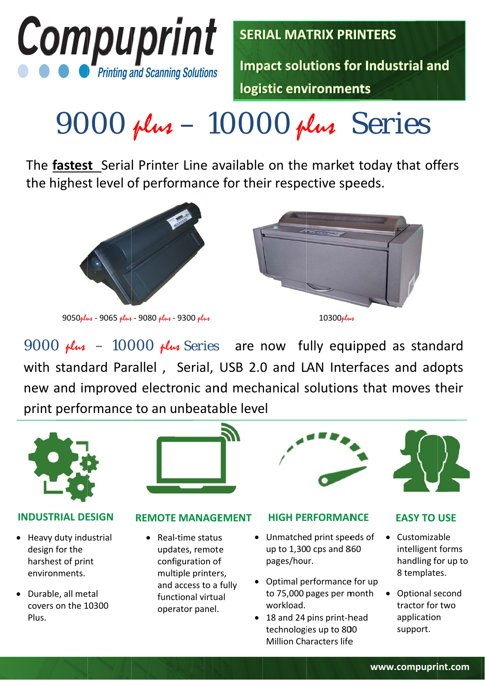

**SERIAL MATRIX PRINTERS** 

**Impact solutions for Industrial and** logistic environments

# $9000$  plus  $-10000$  plus Series

The fastest Serial Printer Line available on the market today that offers the highest level of performance for their respective speeds.



9050plus - 9065 plus - 9080 plus - 9300 plus





9000  $\mu$ lus - 10000  $\mu$ lus Series are now fully equipped as standard with standard Parallel, Serial, USB 2.0 and LAN Interfaces and adopts new and improved electronic and mechanical solutions that moves their print performance to an unbeatable level



## **INDUSTRIAL DESIGN**

- Heavy duty industrial design for the harshest of print environments.
- Durable, all metal covers on the 10300 Plus.



## **REMOTE MANAGEMENT**

• Real-time status updates, remote configuration of multiple printers, and access to a fully functional virtual operator panel.

#### **HIGH PERFORMANCE**

- Unmatched print speeds of up to 1,300 cps and 860 pages/hour.
- Optimal performance for up to 75,000 pages per month workload.
- 18 and 24 pins print-head technologies up to 800 **Million Characters life**

## **EASY TO USE**

- Customizable intelligent forms handling for up to 8 templates.
- Optional second tractor for two application support.